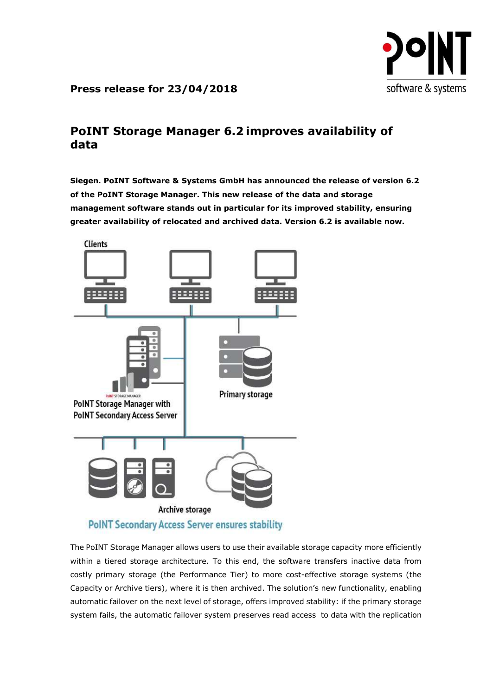

## Press release for 23/04/2018

## PoINT Storage Manager 6.2 improves availability of data

Siegen. PoINT Software & Systems GmbH has announced the release of version 6.2 of the PoINT Storage Manager. This new release of the data and storage management software stands out in particular for its improved stability, ensuring greater availability of relocated and archived data. Version 6.2 is available now.



The PoINT Storage Manager allows users to use their available storage capacity more efficiently within a tiered storage architecture. To this end, the software transfers inactive data from costly primary storage (the Performance Tier) to more cost-effective storage systems (the Capacity or Archive tiers), where it is then archived. The solution's new functionality, enabling automatic failover on the next level of storage, offers improved stability: if the primary storage system fails, the automatic failover system preserves read access to data with the replication